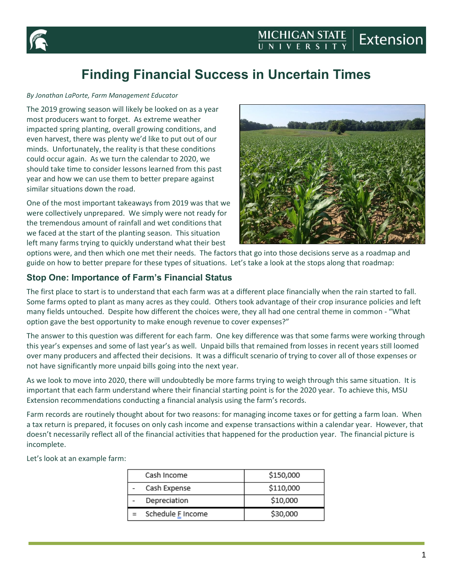



# **Finding Financial Success in Uncertain Times**

#### *By Jonathan LaPorte, Farm Management Educator*

The 2019 growing season will likely be looked on as a year most producers want to forget. As extreme weather impacted spring planting, overall growing conditions, and even harvest, there was plenty we'd like to put out of our minds. Unfortunately, the reality is that these conditions could occur again. As we turn the calendar to 2020, we should take time to consider lessons learned from this past year and how we can use them to better prepare against similar situations down the road.

One of the most important takeaways from 2019 was that we were collectively unprepared. We simply were not ready for the tremendous amount of rainfall and wet conditions that we faced at the start of the planting season. This situation left many farms trying to quickly understand what their best



options were, and then which one met their needs. The factors that go into those decisions serve as a roadmap and guide on how to better prepare for these types of situations. Let's take a look at the stops along that roadmap:

#### **Stop One: Importance of Farm's Financial Status**

The first place to start is to understand that each farm was at a different place financially when the rain started to fall. Some farms opted to plant as many acres as they could. Others took advantage of their crop insurance policies and left many fields untouched. Despite how different the choices were, they all had one central theme in common - "What option gave the best opportunity to make enough revenue to cover expenses?"

The answer to this question was different for each farm. One key difference was that some farms were working through this year's expenses and some of last year's as well. Unpaid bills that remained from losses in recent years still loomed over many producers and affected their decisions. It was a difficult scenario of trying to cover all of those expenses or not have significantly more unpaid bills going into the next year.

As we look to move into 2020, there will undoubtedly be more farms trying to weigh through this same situation. It is important that each farm understand where their financial starting point is for the 2020 year. To achieve this, MSU Extension recommendations conducting a financial analysis using the farm's records.

Farm records are routinely thought about for two reasons: for managing income taxes or for getting a farm loan. When a tax return is prepared, it focuses on only cash income and expense transactions within a calendar year. However, that doesn't necessarily reflect all of the financial activities that happened for the production year. The financial picture is incomplete.

Let's look at an example farm:

| Cash Income       | \$150,000 |
|-------------------|-----------|
| Cash Expense      | \$110,000 |
| Depreciation      | \$10,000  |
| Schedule E Income | \$30,000  |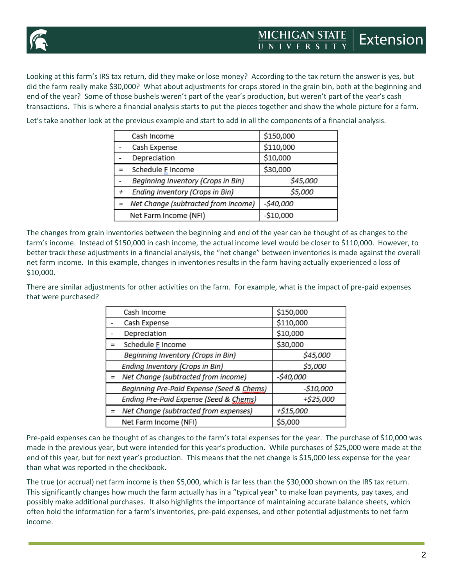

Looking at this farm's IRS tax return, did they make or lose money? According to the tax return the answer is yes, but did the farm really make \$30,000? What about adjustments for crops stored in the grain bin, both at the beginning and end of the year? Some of those bushels weren't part of the year's production, but weren't part of the year's cash transactions. This is where a financial analysis starts to put the pieces together and show the whole picture for a farm.

Let's take another look at the previous example and start to add in all the components of a financial analysis.

| Cash Income                           | \$150,000  |
|---------------------------------------|------------|
| Cash Expense                          | \$110,000  |
| Depreciation                          | \$10,000   |
| Schedule F Income                     | \$30,000   |
| Beginning Inventory (Crops in Bin)    | \$45,000   |
| Ending Inventory (Crops in Bin)       | \$5,000    |
| = Net Change (subtracted from income) | -\$40,000  |
| Net Farm Income (NFI)                 | $-$10,000$ |

The changes from grain inventories between the beginning and end of the year can be thought of as changes to the farm's income. Instead of \$150,000 in cash income, the actual income level would be closer to \$110,000. However, to better track these adjustments in a financial analysis, the "net change" between inventories is made against the overall net farm income. In this example, changes in inventories results in the farm having actually experienced a loss of \$10,000.

There are similar adjustments for other activities on the farm. For example, what is the impact of pre-paid expenses that were purchased?

| Cash Income                               | \$150,000 |
|-------------------------------------------|-----------|
| Cash Expense                              | \$110,000 |
| Depreciation                              | \$10,000  |
| Schedule F Income                         | \$30,000  |
| Beginning Inventory (Crops in Bin)        | \$45,000  |
| Ending Inventory (Crops in Bin)           | \$5,000   |
| Net Change (subtracted from income)       | -\$40,000 |
| Beginning Pre-Paid Expense (Seed & Chems) | -\$10,000 |
| Ending Pre-Paid Expense (Seed & Chems)    | +\$25,000 |
| Net Change (subtracted from expenses)     | +\$15,000 |
| Net Farm Income (NFI)                     | \$5,000   |

Pre-paid expenses can be thought of as changes to the farm's total expenses for the year. The purchase of \$10,000 was made in the previous year, but were intended for this year's production. While purchases of \$25,000 were made at the end of this year, but for next year's production. This means that the net change is \$15,000 less expense for the year than what was reported in the checkbook.

The true (or accrual) net farm income is then \$5,000, which is far less than the \$30,000 shown on the IRS tax return. This significantly changes how much the farm actually has in a "typical year" to make loan payments, pay taxes, and possibly make additional purchases. It also highlights the importance of maintaining accurate balance sheets, which often hold the information for a farm's inventories, pre-paid expenses, and other potential adjustments to net farm income.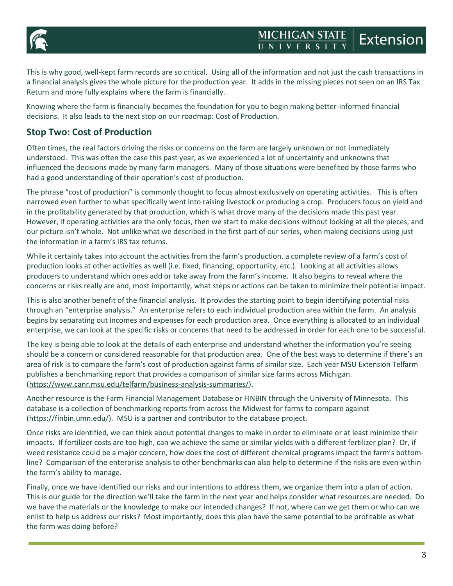

This is why good, well-kept farm records are so critical. Using all of the information and not just the cash transactions in a financial analysis gives the whole picture for the production year. It adds in the missing pieces not seen on an IRS Tax Return and more fully explains where the farm is financially.

Knowing where the farm is financially becomes the foundation for you to begin making better-informed financial decisions. It also leads to the next stop on our roadmap: Cost of Production.

## **Stop Two: Cost of Production**

Often times, the real factors driving the risks or concerns on the farm are largely unknown or not immediately understood. This was often the case this past year, as we experienced a lot of uncertainty and unknowns that influenced the decisions made by many farm managers. Many of those situations were benefited by those farms who had a good understanding of their operation's cost of production.

The phrase "cost of production" is commonly thought to focus almost exclusively on operating activities. This is often narrowed even further to what specifically went into raising livestock or producing a crop. Producers focus on yield and in the profitability generated by that production, which is what drove many of the decisions made this past year. However, if operating activities are the only focus, then we start to make decisions without looking at all the pieces, and our picture isn't whole. Not unlike what we described in the first part of our series, when making decisions using just the information in a farm's IRS tax returns.

While it certainly takes into account the activities from the farm's production, a complete review of a farm's cost of production looks at other activities as well (i.e. fixed, financing, opportunity, etc.). Looking at all activities allows producers to understand which ones add or take away from the farm's income. It also begins to reveal where the concerns or risks really are and, most importantly, what steps or actions can be taken to minimize their potential impact.

This is also another benefit of the financial analysis. It provides the starting point to begin identifying potential risks through an "enterprise analysis." An enterprise refers to each individual production area within the farm. An analysis begins by separating out incomes and expenses for each production area. Once everything is allocated to an individual enterprise, we can look at the specific risks or concerns that need to be addressed in order for each one to be successful.

The key is being able to look at the details of each enterprise and understand whether the information you're seeing should be a concern or considered reasonable for that production area. One of the best ways to determine if there's an area of risk is to compare the farm's cost of production against farms of similar size. Each year MSU Extension Telfarm publishes a benchmarking report that provides a comparison of similar size farms across Michigan. [\(https://www.canr.msu.edu/telfarm/business-analysis-summaries/\)](https://www.canr.msu.edu/telfarm/business-analysis-summaries/).

Another resource is the Farm Financial Management Database or FINBIN through the University of Minnesota. This database is a collection of benchmarking reports from across the Midwest for farms to compare against [\(https://finbin.umn.edu/\)](https://finbin.umn.edu/). MSU is a partner and contributor to the database project.

Once risks are identified, we can think about potential changes to make in order to eliminate or at least minimize their impacts. If fertilizer costs are too high, can we achieve the same or similar yields with a different fertilizer plan? Or, if weed resistance could be a major concern, how does the cost of different chemical programs impact the farm's bottomline? Comparison of the enterprise analysis to other benchmarks can also help to determine if the risks are even within the farm's ability to manage.

Finally, once we have identified our risks and our intentions to address them, we organize them into a plan of action. This is our guide for the direction we'll take the farm in the next year and helps consider what resources are needed. Do we have the materials or the knowledge to make our intended changes? If not, where can we get them or who can we enlist to help us address our risks? Most importantly, does this plan have the same potential to be profitable as what the farm was doing before?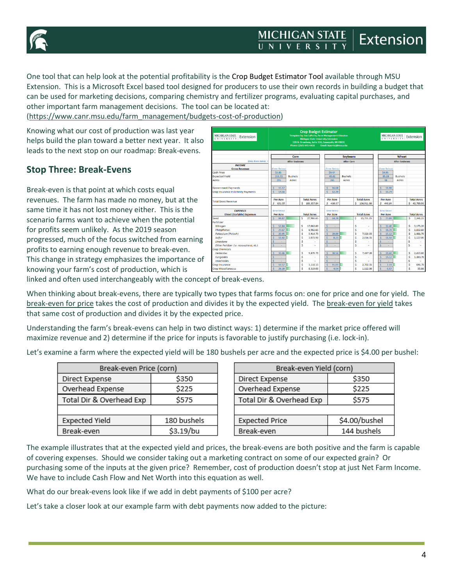



One tool that can help look at the potential profitability is the Crop Budget Estimator Tool available through MSU Extension. This is a Microsoft Excel based tool designed for producers to use their own records in building a budget that can be used for marketing decisions, comparing chemistry and fertilizer programs, evaluating capital purchases, and other important farm management decisions. The tool can be located at:

[\(https://www.canr.msu.edu/farm\\_management/budgets-cost-of-production\)](https://www.canr.msu.edu/farm_management/budgets-cost-of-production)

Knowing what our cost of production was last year helps build the plan toward a better next year. It also leads to the next stop on our roadmap: Break-evens.

#### **Stop Three: Break-Evens**

Break-even is that point at which costs equal revenues. The farm has made no money, but at the same time it has not lost money either. This is the scenario farms want to achieve when the potential for profits seem unlikely. As the 2019 season progressed, much of the focus switched from earning profits to earning enough revenue to break-even. This change in strategy emphasizes the importance of knowing your farm's cost of production, which is

| MICHIGAN STATE<br>Extension                  | <b>Crop Budget Estimator</b><br>Template by: Jon LaPorte, Farm Management Educator<br><b>Michigan State University Extension</b><br>120 N. Broadway, Suite 116, Cassopolis, MI 49031<br>Phone: (269) 445-4438<br>Email: laportei@msu.edu |                       |   |                    |          |                     |                 |                   | <b>MICHIGAN STATE</b><br>UNIVERSITY<br>Extension |                    |                       |                 |                |    |                    |
|----------------------------------------------|------------------------------------------------------------------------------------------------------------------------------------------------------------------------------------------------------------------------------------------|-----------------------|---|--------------------|----------|---------------------|-----------------|-------------------|--------------------------------------------------|--------------------|-----------------------|-----------------|----------------|----|--------------------|
|                                              | Corn                                                                                                                                                                                                                                     |                       |   |                    | Sovbeans |                     |                 |                   |                                                  | Wheat              |                       |                 |                |    |                    |
| (drop down menu) ->                          |                                                                                                                                                                                                                                          | <b>After Soybeans</b> |   |                    |          |                     |                 | <b>After Corn</b> |                                                  |                    | <b>After Soybeans</b> |                 |                |    |                    |
| <b>INCOME</b>                                |                                                                                                                                                                                                                                          |                       |   |                    |          |                     |                 |                   |                                                  |                    |                       |                 |                |    |                    |
| <b>Gross Revenue</b>                         | (Enter Below)                                                                                                                                                                                                                            |                       |   |                    |          |                     | (Enter Below)   |                   |                                                  |                    |                       | (Enter Below)   |                |    |                    |
| Cash Price                                   | \$3.85                                                                                                                                                                                                                                   |                       |   |                    |          |                     | \$9.47          |                   |                                                  |                    |                       | \$4.95          |                |    |                    |
| <b>Expected Yield</b>                        | 153.72                                                                                                                                                                                                                                   | <b>Bushels</b>        |   |                    |          |                     | 43.01           | <b>Bushels</b>    |                                                  |                    |                       | 85.68           | <b>Bushels</b> |    |                    |
| Acres                                        | 295                                                                                                                                                                                                                                      | <b>Acres</b>          |   |                    |          |                     | 245             | Acres             |                                                  |                    |                       | 98              | Acres          |    |                    |
|                                              |                                                                                                                                                                                                                                          |                       |   |                    |          |                     |                 |                   |                                                  |                    |                       |                 |                |    |                    |
| <b>Government Payments</b>                   | 15.17<br><b>A</b>                                                                                                                                                                                                                        |                       |   |                    |          | -Ś                  | 16.68           |                   |                                                  |                    | ×                     | 11.98           |                |    |                    |
| Crop Insurance Indemnity Payments            | Ŕ<br>14.56                                                                                                                                                                                                                               |                       |   |                    |          | <b>R</b>            | 12.39           |                   |                                                  |                    | ×.                    | 10.74           |                |    |                    |
|                                              | <b>Per Acre</b>                                                                                                                                                                                                                          |                       |   | <b>Total Acres</b> |          |                     | Per Acre        |                   |                                                  | <b>Total Acres</b> |                       | <b>Per Acre</b> |                |    | <b>Total Acres</b> |
| <b>Total Gross Revenue</b>                   | \$621.55                                                                                                                                                                                                                                 |                       |   | \$183,357.84       |          |                     | \$436.37        |                   |                                                  | \$106,911.80       |                       | \$446.84        |                |    | \$43,789.93        |
| <b>EXPENSES</b>                              | Enter Below)                                                                                                                                                                                                                             |                       |   |                    |          |                     | (Enter Below)   |                   |                                                  |                    |                       | (Enter Below)   |                |    |                    |
| <b>Direct (Variable) Expenses</b>            | <b>Per Acre</b>                                                                                                                                                                                                                          |                       |   | <b>Total Acres</b> |          |                     | <b>Per Acre</b> |                   |                                                  | <b>Total Acres</b> |                       | <b>Per Acre</b> |                |    | <b>Total Acres</b> |
| Seed                                         | 94.87                                                                                                                                                                                                                                    |                       | Ś | 27.986.65          |          | <b>S</b>            | 64.29           |                   | Ś                                                | 15,751.05          | s                     | 73.89           |                | \$ | 7.241.22           |
| Fertilizer                                   |                                                                                                                                                                                                                                          |                       |   |                    |          |                     |                 |                   |                                                  |                    |                       |                 |                |    |                    |
| Nitrogen                                     | <b>A</b><br>57.84                                                                                                                                                                                                                        |                       | Ś | 17.062.80          |          | l \$                | $\sim$          |                   | \$                                               | $\overline{a}$     | <b>S</b>              | 32.40           |                | Ś  | 3.175.20           |
| Phosphorus                                   | 23.67<br><b>S</b>                                                                                                                                                                                                                        |                       | Ś | 6,982,65           |          | $\vert$ \$          | $\sim$          |                   | \$                                               |                    | <b>S</b>              | 18.70           |                | Ś  | 1,832.60           |
| Potassium (Potash)                           | -Ś<br>20.05                                                                                                                                                                                                                              |                       | Ś | 5.914.75           |          | ۱ś                  | 29.89           |                   | \$                                               | 7.323.05           | <b>S</b>              | 15.12           |                | Ś  | 1.481.76           |
| Sulfur                                       | <b>S</b><br>10.42                                                                                                                                                                                                                        |                       | Ś | 3,073,90           |          | l s                 | 8.23            |                   | Ś                                                | 2,016.35           | -5                    | 11.50           |                | Ś  | 1.127.00           |
| Limestone                                    | -Ś                                                                                                                                                                                                                                       |                       | Ś |                    |          | Ŝ                   | $\sim$          |                   | Ś                                                |                    | s                     |                 |                | Ś  |                    |
| Other Fertilizer (i.e. micronutrients, etc.) | <b>S</b><br>٠                                                                                                                                                                                                                            |                       | Ś |                    |          | Ŝ                   | ×               |                   | Ś                                                |                    | ŝ                     | ٠               |                | Ŝ  | i.                 |
| <b>Crop Chemicals</b>                        |                                                                                                                                                                                                                                          |                       |   |                    |          |                     |                 |                   |                                                  |                    |                       |                 |                |    |                    |
| Herbicides                                   | 33.46                                                                                                                                                                                                                                    |                       | Ś | 9,870.70           |          | ۱Ś                  | 30.56           |                   | \$                                               | 7,487.20           | <b>S</b>              | 24.60           |                | Ś  | 2,410.80           |
| <b>Fungicides</b>                            | -Ś                                                                                                                                                                                                                                       |                       | Ś |                    |          | $\ddot{\mathsf{s}}$ | ÷               |                   | \$                                               | $\sim$             | -S                    | 14.12           |                | Ś  | 1.383.76           |
| <b>Insecticides</b>                          |                                                                                                                                                                                                                                          |                       | Ś |                    |          | $\mathsf{\hat{S}}$  | ٠               |                   | Ś                                                |                    |                       |                 |                | Ŝ  |                    |
| Crop Insurance                               | <b>S</b><br>10.57                                                                                                                                                                                                                        |                       | Ś | 3.118.15           |          | <b>S</b>            | 11.03           |                   | \$                                               | 2,702.35           | <b>S</b>              | 7.11            |                | Ś  | 696.78             |
| <b>Crop Miscellaneous</b>                    | 28.20                                                                                                                                                                                                                                    |                       | Ś | 8.319.00           |          | <b>K</b>            | 4.54            |                   | Ś                                                | 1,112.30           |                       | 0.57            |                | Ś  | 55.86              |

linked and often used interchangeably with the concept of break-evens.

When thinking about break-evens, there are typically two types that farms focus on: one for price and one for yield. The break-even for price takes the cost of production and divides it by the expected yield. The break-even for yield takes that same cost of production and divides it by the expected price.

Understanding the farm's break-evens can help in two distinct ways: 1) determine if the market price offered will maximize revenue and 2) determine if the price for inputs is favorable to justify purchasing (i.e. lock-in).

Let's examine a farm where the expected yield will be 180 bushels per acre and the expected price is \$4.00 per bushel:

| Break-even Price (corn)  |             |  |  |  |  |
|--------------------------|-------------|--|--|--|--|
| \$350<br>Direct Expense  |             |  |  |  |  |
| Overhead Expense         | \$225       |  |  |  |  |
| Total Dir & Overhead Exp | \$575       |  |  |  |  |
|                          |             |  |  |  |  |
| <b>Expected Yield</b>    | 180 bushels |  |  |  |  |
| Break-even               | \$3.19/bu   |  |  |  |  |

| Break-even Yield (corn)  |               |  |  |  |  |
|--------------------------|---------------|--|--|--|--|
| \$350<br>Direct Expense  |               |  |  |  |  |
| Overhead Expense         | \$225         |  |  |  |  |
| Total Dir & Overhead Exp | \$575         |  |  |  |  |
|                          |               |  |  |  |  |
| <b>Expected Price</b>    | \$4.00/bushel |  |  |  |  |
| Break-even               | 144 bushels   |  |  |  |  |

The example illustrates that at the expected yield and prices, the break-evens are both positive and the farm is capable of covering expenses. Should we consider taking out a marketing contract on some of our expected grain? Or purchasing some of the inputs at the given price? Remember, cost of production doesn't stop at just Net Farm Income. We have to include Cash Flow and Net Worth into this equation as well.

What do our break-evens look like if we add in debt payments of \$100 per acre?

Let's take a closer look at our example farm with debt payments now added to the picture: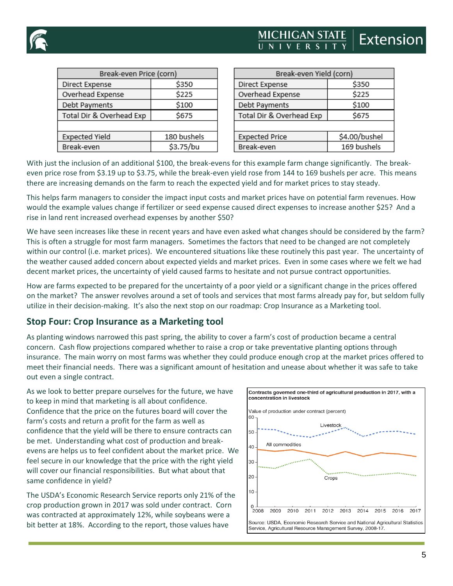

# **Extensior**

| Break-even Price (corn)  |             |  |  |  |  |
|--------------------------|-------------|--|--|--|--|
| \$350<br>Direct Expense  |             |  |  |  |  |
| Overhead Expense         | \$225       |  |  |  |  |
| Debt Payments            | \$100       |  |  |  |  |
| Total Dir & Overhead Exp | \$675       |  |  |  |  |
|                          |             |  |  |  |  |
| <b>Expected Yield</b>    | 180 bushels |  |  |  |  |
| Break-even               | \$3.75/bu   |  |  |  |  |
|                          |             |  |  |  |  |

| Break-even Yield (corn) |  |  |  |  |  |
|-------------------------|--|--|--|--|--|
| \$350                   |  |  |  |  |  |
| \$225                   |  |  |  |  |  |
| \$100                   |  |  |  |  |  |
| \$675                   |  |  |  |  |  |
|                         |  |  |  |  |  |
| \$4.00/bushel           |  |  |  |  |  |
| 169 bushels             |  |  |  |  |  |
|                         |  |  |  |  |  |

With just the inclusion of an additional \$100, the break-evens for this example farm change significantly. The breakeven price rose from \$3.19 up to \$3.75, while the break-even yield rose from 144 to 169 bushels per acre. This means there are increasing demands on the farm to reach the expected yield and for market prices to stay steady.

This helps farm managers to consider the impact input costs and market prices have on potential farm revenues. How would the example values change if fertilizer or seed expense caused direct expenses to increase another \$25? And a rise in land rent increased overhead expenses by another \$50?

We have seen increases like these in recent years and have even asked what changes should be considered by the farm? This is often a struggle for most farm managers. Sometimes the factors that need to be changed are not completely within our control (i.e. market prices). We encountered situations like these routinely this past year. The uncertainty of the weather caused added concern about expected yields and market prices. Even in some cases where we felt we had decent market prices, the uncertainty of yield caused farms to hesitate and not pursue contract opportunities.

How are farms expected to be prepared for the uncertainty of a poor yield or a significant change in the prices offered on the market? The answer revolves around a set of tools and services that most farms already pay for, but seldom fully utilize in their decision-making. It's also the next stop on our roadmap: Crop Insurance as a Marketing tool.

### **Stop Four: Crop Insurance as a Marketing tool**

As planting windows narrowed this past spring, the ability to cover a farm's cost of production became a central concern. Cash flow projections compared whether to raise a crop or take preventative planting options through insurance. The main worry on most farms was whether they could produce enough crop at the market prices offered to meet their financial needs. There was a significant amount of hesitation and unease about whether it was safe to take out even a single contract.

As we look to better prepare ourselves for the future, we have to keep in mind that marketing is all about confidence. Confidence that the price on the futures board will cover the farm's costs and return a profit for the farm as well as confidence that the yield will be there to ensure contracts can be met. Understanding what cost of production and breakevens are helps us to feel confident about the market price. We feel secure in our knowledge that the price with the right yield will cover our financial responsibilities. But what about that same confidence in yield?

The USDA's Economic Research Service reports only 21% of the crop production grown in 2017 was sold under contract. Corn was contracted at approximately 12%, while soybeans were a bit better at 18%. According to the report, those values have